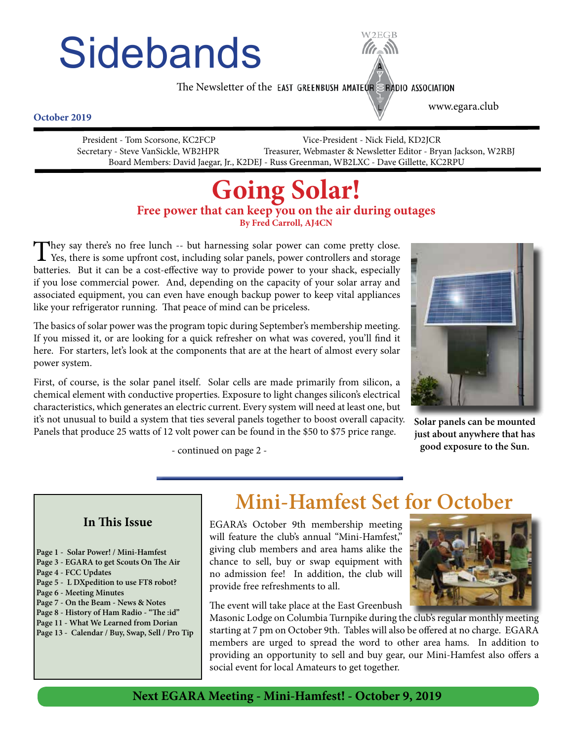# **Sidebands**



The Newsletter of the EAST GREENBUSH AMATEUR ERADIO ASSOCIATION

www.egara.club

#### **October 2019**

 President - Tom Scorsone, KC2FCP Vice-President - Nick Field, KD2JCR Secretary - Steve VanSickle, WB2HPR Treasurer, Webmaster & Newsletter Editor - Bryan Jackson, W2RBJ Board Members: David Jaegar, Jr., K2DEJ - Russ Greenman, WB2LXC - Dave Gillette, KC2RPU

# **Going Solar!**<br>Free power that can keep you on the air during outages

**By Fred Carroll, AJ4CN**

They say there's no free lunch -- but harnessing solar power can come pretty close.<br>Yes, there is some upfront cost, including solar panels, power controllers and storage batteries. But it can be a cost-effective way to provide power to your shack, especially if you lose commercial power. And, depending on the capacity of your solar array and associated equipment, you can even have enough backup power to keep vital appliances like your refrigerator running. That peace of mind can be priceless.

The basics of solar power was the program topic during September's membership meeting. If you missed it, or are looking for a quick refresher on what was covered, you'll find it here. For starters, let's look at the components that are at the heart of almost every solar power system.

First, of course, is the solar panel itself. Solar cells are made primarily from silicon, a chemical element with conductive properties. Exposure to light changes silicon's electrical characteristics, which generates an electric current. Every system will need at least one, but it's not unusual to build a system that ties several panels together to boost overall capacity. Panels that produce 25 watts of 12 volt power can be found in the \$50 to \$75 price range.



**Solar panels can be mounted just about anywhere that has good exposure to the Sun.**

- continued on page 2 -

#### **In This Issue**

- **Page 1 Solar Power! / Mini-Hamfest**
- **Page 3 EGARA to get Scouts On The Air**
- **Page 4 FCC Updates**
- **Page 5 L DXpedition to use FT8 robot?**
- **Page 6 Meeting Minutes**
- **Page 7 On the Beam News & Notes**
- **Page 8 History of Ham Radio "The :id"**
- **Page 11 What We Learned from Dorian**
- **Page 13 Calendar / Buy, Swap, Sell / Pro Tip**

**Mini-Hamfest Set for October**

EGARA's October 9th membership meeting will feature the club's annual "Mini-Hamfest," giving club members and area hams alike the chance to sell, buy or swap equipment with no admission fee! In addition, the club will provide free refreshments to all.



The event will take place at the East Greenbush

Masonic Lodge on Columbia Turnpike during the club's regular monthly meeting starting at 7 pm on October 9th. Tables will also be offered at no charge. EGARA members are urged to spread the word to other area hams. In addition to providing an opportunity to sell and buy gear, our Mini-Hamfest also offers a social event for local Amateurs to get together.

#### **Next EGARA Meeting - Mini-Hamfest! - October 9, 2019**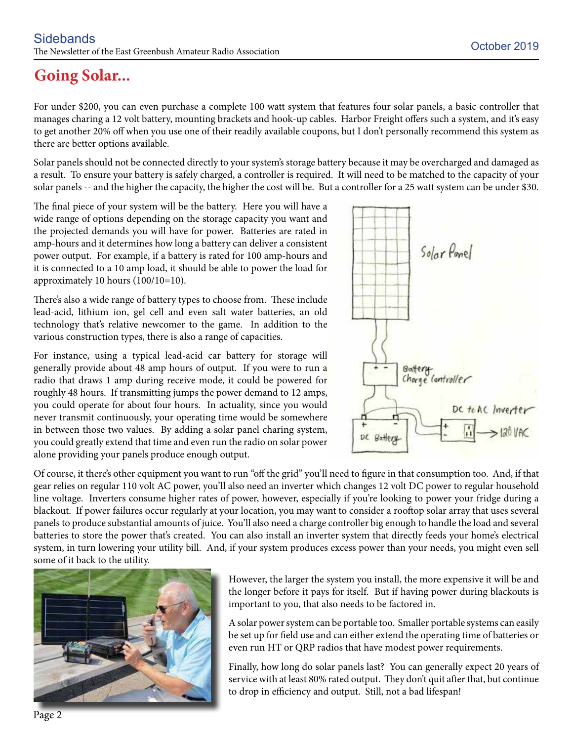### **Going Solar...**

For under \$200, you can even purchase a complete 100 watt system that features four solar panels, a basic controller that manages charing a 12 volt battery, mounting brackets and hook-up cables. Harbor Freight offers such a system, and it's easy to get another 20% off when you use one of their readily available coupons, but I don't personally recommend this system as there are better options available.

Solar panels should not be connected directly to your system's storage battery because it may be overcharged and damaged as a result. To ensure your battery is safely charged, a controller is required. It will need to be matched to the capacity of your solar panels -- and the higher the capacity, the higher the cost will be. But a controller for a 25 watt system can be under \$30.

The final piece of your system will be the battery. Here you will have a wide range of options depending on the storage capacity you want and the projected demands you will have for power. Batteries are rated in amp-hours and it determines how long a battery can deliver a consistent power output. For example, if a battery is rated for 100 amp-hours and it is connected to a 10 amp load, it should be able to power the load for approximately 10 hours (100/10=10).

There's also a wide range of battery types to choose from. These include lead-acid, lithium ion, gel cell and even salt water batteries, an old technology that's relative newcomer to the game. In addition to the various construction types, there is also a range of capacities.

For instance, using a typical lead-acid car battery for storage will generally provide about 48 amp hours of output. If you were to run a radio that draws 1 amp during receive mode, it could be powered for roughly 48 hours. If transmitting jumps the power demand to 12 amps, you could operate for about four hours. In actuality, since you would never transmit continuously, your operating time would be somewhere in between those two values. By adding a solar panel charing system, you could greatly extend that time and even run the radio on solar power alone providing your panels produce enough output.



Of course, it there's other equipment you want to run "off the grid" you'll need to figure in that consumption too. And, if that gear relies on regular 110 volt AC power, you'll also need an inverter which changes 12 volt DC power to regular household line voltage. Inverters consume higher rates of power, however, especially if you're looking to power your fridge during a blackout. If power failures occur regularly at your location, you may want to consider a rooftop solar array that uses several panels to produce substantial amounts of juice. You'll also need a charge controller big enough to handle the load and several batteries to store the power that's created. You can also install an inverter system that directly feeds your home's electrical system, in turn lowering your utility bill. And, if your system produces excess power than your needs, you might even sell some of it back to the utility.



However, the larger the system you install, the more expensive it will be and the longer before it pays for itself. But if having power during blackouts is important to you, that also needs to be factored in.

A solar power system can be portable too. Smaller portable systems can easily be set up for field use and can either extend the operating time of batteries or even run HT or QRP radios that have modest power requirements.

Finally, how long do solar panels last? You can generally expect 20 years of service with at least 80% rated output. They don't quit after that, but continue to drop in efficiency and output. Still, not a bad lifespan!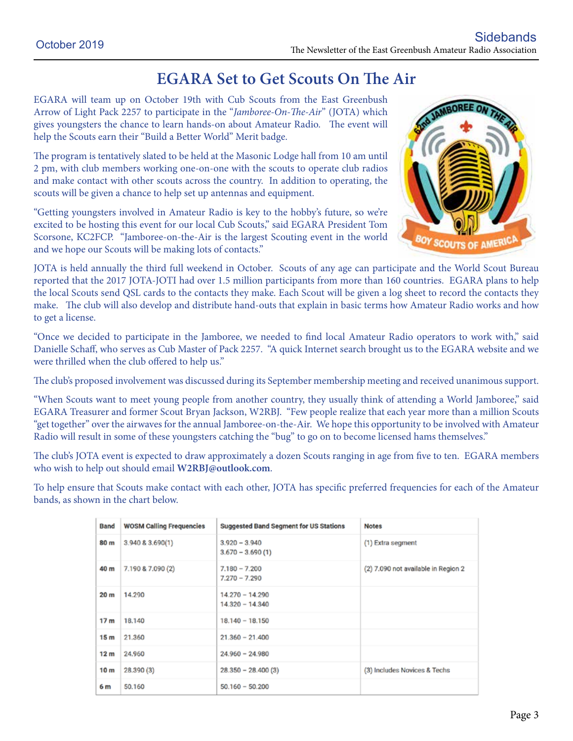#### **EGARA Set to Get Scouts On The Air**

EGARA will team up on October 19th with Cub Scouts from the East Greenbush Arrow of Light Pack 2257 to participate in the "*Jamboree-On-The-Air*" (JOTA) which gives youngsters the chance to learn hands-on about Amateur Radio. The event will help the Scouts earn their "Build a Better World" Merit badge.

The program is tentatively slated to be held at the Masonic Lodge hall from 10 am until 2 pm, with club members working one-on-one with the scouts to operate club radios and make contact with other scouts across the country. In addition to operating, the scouts will be given a chance to help set up antennas and equipment.

"Getting youngsters involved in Amateur Radio is key to the hobby's future, so we're excited to be hosting this event for our local Cub Scouts," said EGARA President Tom Scorsone, KC2FCP. "Jamboree-on-the-Air is the largest Scouting event in the world and we hope our Scouts will be making lots of contacts."



JOTA is held annually the third full weekend in October. Scouts of any age can participate and the World Scout Bureau reported that the 2017 JOTA-JOTI had over 1.5 million participants from more than 160 countries. EGARA plans to help the local Scouts send QSL cards to the contacts they make. Each Scout will be given a log sheet to record the contacts they make. The club will also develop and distribute hand-outs that explain in basic terms how Amateur Radio works and how to get a license.

"Once we decided to participate in the Jamboree, we needed to find local Amateur Radio operators to work with," said Danielle Schaff, who serves as Cub Master of Pack 2257. "A quick Internet search brought us to the EGARA website and we were thrilled when the club offered to help us."

The club's proposed involvement was discussed during its September membership meeting and received unanimous support.

"When Scouts want to meet young people from another country, they usually think of attending a World Jamboree," said EGARA Treasurer and former Scout Bryan Jackson, W2RBJ. "Few people realize that each year more than a million Scouts "get together" over the airwaves for the annual Jamboree-on-the-Air. We hope this opportunity to be involved with Amateur Radio will result in some of these youngsters catching the "bug" to go on to become licensed hams themselves."

The club's JOTA event is expected to draw approximately a dozen Scouts ranging in age from five to ten. EGARA members who wish to help out should email **W2RBJ@outlook.com**.

To help ensure that Scouts make contact with each other, JOTA has specific preferred frequencies for each of the Amateur bands, as shown in the chart below.

| <b>Band</b>     | <b>WOSM Calling Frequencies</b> | <b>Suggested Band Segment for US Stations</b> | <b>Notes</b>                        |
|-----------------|---------------------------------|-----------------------------------------------|-------------------------------------|
| 80 m            | 3.940 & 3.690(1)                | $3.920 - 3.940$<br>$3.670 - 3.690(1)$         | (1) Extra segment                   |
| 40 m            | 7.190 & 7.090 (2)               | $7.180 - 7.200$<br>$7.270 - 7.290$            | (2) 7.090 not available in Region 2 |
| 20 m            | 14.290                          | $14.270 - 14.290$<br>$14.320 - 14.340$        |                                     |
| 17 <sub>m</sub> | 18,140                          | $18.140 - 18.150$                             |                                     |
| 15 <sub>m</sub> | 21.360                          | $21.360 - 21.400$                             |                                     |
| 12 <sub>m</sub> | 24,960                          | $24.960 - 24.980$                             |                                     |
| 10 <sub>m</sub> | 28.390(3)                       | $28.350 - 28.400(3)$                          | (3) Includes Novices & Techs        |
| 6 m             | 50.160                          | $50.160 - 50.200$                             |                                     |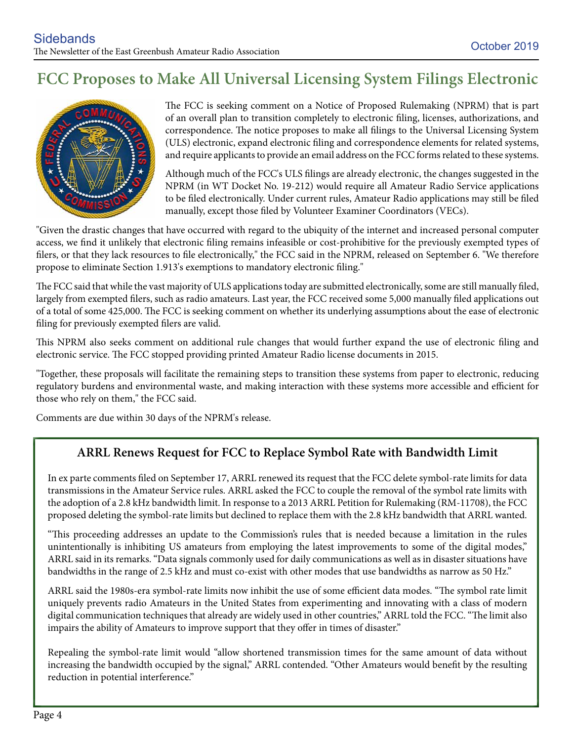#### **FCC Proposes to Make All Universal Licensing System Filings Electronic**



The FCC is seeking comment on a Notice of Proposed Rulemaking (NPRM) that is part of an overall plan to transition completely to electronic filing, licenses, authorizations, and correspondence. The notice proposes to make all filings to the Universal Licensing System (ULS) electronic, expand electronic filing and correspondence elements for related systems, and require applicants to provide an email address on the FCC forms related to these systems.

Although much of the FCC's ULS filings are already electronic, the changes suggested in the NPRM (in WT Docket No. 19-212) would require all Amateur Radio Service applications to be filed electronically. Under current rules, Amateur Radio applications may still be filed manually, except those filed by Volunteer Examiner Coordinators (VECs).

"Given the drastic changes that have occurred with regard to the ubiquity of the internet and increased personal computer access, we find it unlikely that electronic filing remains infeasible or cost-prohibitive for the previously exempted types of filers, or that they lack resources to file electronically," the FCC said in the NPRM, released on September 6. "We therefore propose to eliminate Section 1.913's exemptions to mandatory electronic filing."

The FCC said that while the vast majority of ULS applications today are submitted electronically, some are still manually filed, largely from exempted filers, such as radio amateurs. Last year, the FCC received some 5,000 manually filed applications out of a total of some 425,000. The FCC is seeking comment on whether its underlying assumptions about the ease of electronic filing for previously exempted filers are valid.

This NPRM also seeks comment on additional rule changes that would further expand the use of electronic filing and electronic service. The FCC stopped providing printed Amateur Radio license documents in 2015.

"Together, these proposals will facilitate the remaining steps to transition these systems from paper to electronic, reducing regulatory burdens and environmental waste, and making interaction with these systems more accessible and efficient for those who rely on them," the FCC said.

Comments are due within 30 days of the NPRM's release.

#### **ARRL Renews Request for FCC to Replace Symbol Rate with Bandwidth Limit**

In ex parte comments filed on September 17, ARRL renewed its request that the FCC delete symbol-rate limits for data transmissions in the Amateur Service rules. ARRL asked the FCC to couple the removal of the symbol rate limits with the adoption of a 2.8 kHz bandwidth limit. In response to a 2013 ARRL Petition for Rulemaking (RM-11708), the FCC proposed deleting the symbol-rate limits but declined to replace them with the 2.8 kHz bandwidth that ARRL wanted.

"This proceeding addresses an update to the Commission's rules that is needed because a limitation in the rules unintentionally is inhibiting US amateurs from employing the latest improvements to some of the digital modes," ARRL said in its remarks. "Data signals commonly used for daily communications as well as in disaster situations have bandwidths in the range of 2.5 kHz and must co-exist with other modes that use bandwidths as narrow as 50 Hz."

ARRL said the 1980s-era symbol-rate limits now inhibit the use of some efficient data modes. "The symbol rate limit uniquely prevents radio Amateurs in the United States from experimenting and innovating with a class of modern digital communication techniques that already are widely used in other countries," ARRL told the FCC. "The limit also impairs the ability of Amateurs to improve support that they offer in times of disaster."

Repealing the symbol-rate limit would "allow shortened transmission times for the same amount of data without increasing the bandwidth occupied by the signal," ARRL contended. "Other Amateurs would benefit by the resulting reduction in potential interference."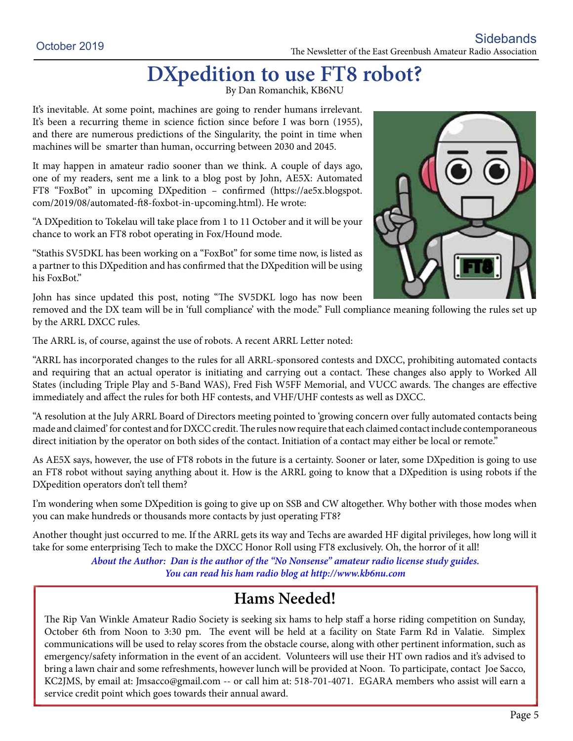## **DXpedition to use FT8 robot?** By Dan Romanchik, KB6NU

It's inevitable. At some point, machines are going to render humans irrelevant. It's been a recurring theme in science fiction since before I was born (1955), and there are numerous predictions of the Singularity, the point in time when machines will be smarter than human, occurring between 2030 and 2045.

It may happen in amateur radio sooner than we think. A couple of days ago, one of my readers, sent me a link to a blog post by John, AE5X: Automated FT8 "FoxBot" in upcoming DXpedition – confirmed (https://ae5x.blogspot. com/2019/08/automated-ft8-foxbot-in-upcoming.html). He wrote:

"A DXpedition to Tokelau will take place from 1 to 11 October and it will be your chance to work an FT8 robot operating in Fox/Hound mode.

"Stathis SV5DKL has been working on a "FoxBot" for some time now, is listed as a partner to this DXpedition and has confirmed that the DXpedition will be using his FoxBot."

John has since updated this post, noting "The SV5DKL logo has now been



removed and the DX team will be in 'full compliance' with the mode." Full compliance meaning following the rules set up by the ARRL DXCC rules.

The ARRL is, of course, against the use of robots. A recent ARRL Letter noted:

"ARRL has incorporated changes to the rules for all ARRL-sponsored contests and DXCC, prohibiting automated contacts and requiring that an actual operator is initiating and carrying out a contact. These changes also apply to Worked All States (including Triple Play and 5-Band WAS), Fred Fish W5FF Memorial, and VUCC awards. The changes are effective immediately and affect the rules for both HF contests, and VHF/UHF contests as well as DXCC.

"A resolution at the July ARRL Board of Directors meeting pointed to 'growing concern over fully automated contacts being made and claimed' for contest and for DXCC credit. The rules now require that each claimed contact include contemporaneous direct initiation by the operator on both sides of the contact. Initiation of a contact may either be local or remote."

As AE5X says, however, the use of FT8 robots in the future is a certainty. Sooner or later, some DXpedition is going to use an FT8 robot without saying anything about it. How is the ARRL going to know that a DXpedition is using robots if the DXpedition operators don't tell them?

I'm wondering when some DXpedition is going to give up on SSB and CW altogether. Why bother with those modes when you can make hundreds or thousands more contacts by just operating FT8?

Another thought just occurred to me. If the ARRL gets its way and Techs are awarded HF digital privileges, how long will it take for some enterprising Tech to make the DXCC Honor Roll using FT8 exclusively. Oh, the horror of it all!

> *About the Author: Dan is the author of the "No Nonsense" amateur radio license study guides. You can read his ham radio blog at http://www.kb6nu.com*

#### **Hams Needed!**

The Rip Van Winkle Amateur Radio Society is seeking six hams to help staff a horse riding competition on Sunday, October 6th from Noon to 3:30 pm. The event will be held at a facility on State Farm Rd in Valatie. Simplex communications will be used to relay scores from the obstacle course, along with other pertinent information, such as emergency/safety information in the event of an accident. Volunteers will use their HT own radios and it's advised to bring a lawn chair and some refreshments, however lunch will be provided at Noon. To participate, contact Joe Sacco, KC2JMS, by email at: Jmsacco@gmail.com -- or call him at: 518-701-4071. EGARA members who assist will earn a service credit point which goes towards their annual award.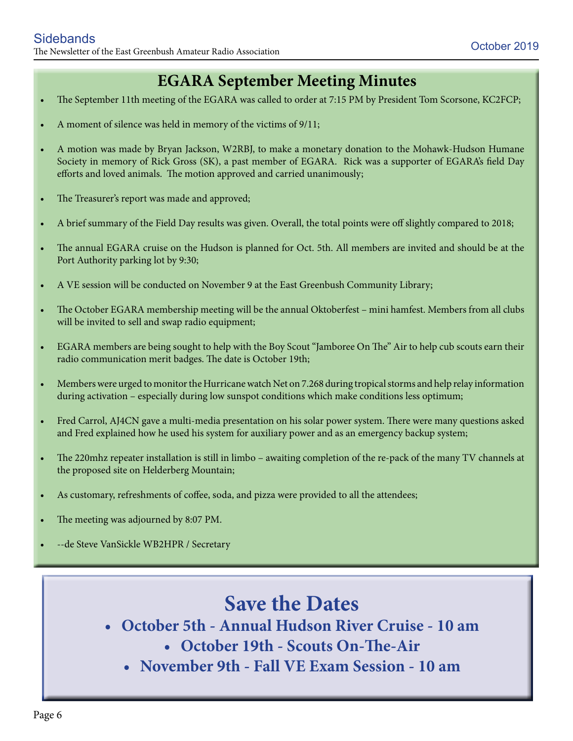#### **EGARA September Meeting Minutes**

- The September 11th meeting of the EGARA was called to order at 7:15 PM by President Tom Scorsone, KC2FCP;
- A moment of silence was held in memory of the victims of  $9/11$ ;
- A motion was made by Bryan Jackson, W2RBJ, to make a monetary donation to the Mohawk-Hudson Humane Society in memory of Rick Gross (SK), a past member of EGARA. Rick was a supporter of EGARA's field Day efforts and loved animals. The motion approved and carried unanimously;
- The Treasurer's report was made and approved;
- A brief summary of the Field Day results was given. Overall, the total points were off slightly compared to 2018;
- The annual EGARA cruise on the Hudson is planned for Oct. 5th. All members are invited and should be at the Port Authority parking lot by 9:30;
- A VE session will be conducted on November 9 at the East Greenbush Community Library;
- The October EGARA membership meeting will be the annual Oktoberfest mini hamfest. Members from all clubs will be invited to sell and swap radio equipment;
- EGARA members are being sought to help with the Boy Scout "Jamboree On The" Air to help cub scouts earn their radio communication merit badges. The date is October 19th;
- Members were urged to monitor the Hurricane watch Net on 7.268 during tropical storms and help relay information during activation – especially during low sunspot conditions which make conditions less optimum;
- Fred Carrol, AJ4CN gave a multi-media presentation on his solar power system. There were many questions asked and Fred explained how he used his system for auxiliary power and as an emergency backup system;
- • The 220mhz repeater installation is still in limbo awaiting completion of the re-pack of the many TV channels at the proposed site on Helderberg Mountain;
- As customary, refreshments of coffee, soda, and pizza were provided to all the attendees;
- The meeting was adjourned by 8:07 PM.
- --de Steve VanSickle WB2HPR / Secretary

### **Save the Dates**

- **• October 5th Annual Hudson River Cruise 10 am**
	- **• October 19th Scouts On-The-Air**
	- **• November 9th Fall VE Exam Session 10 am**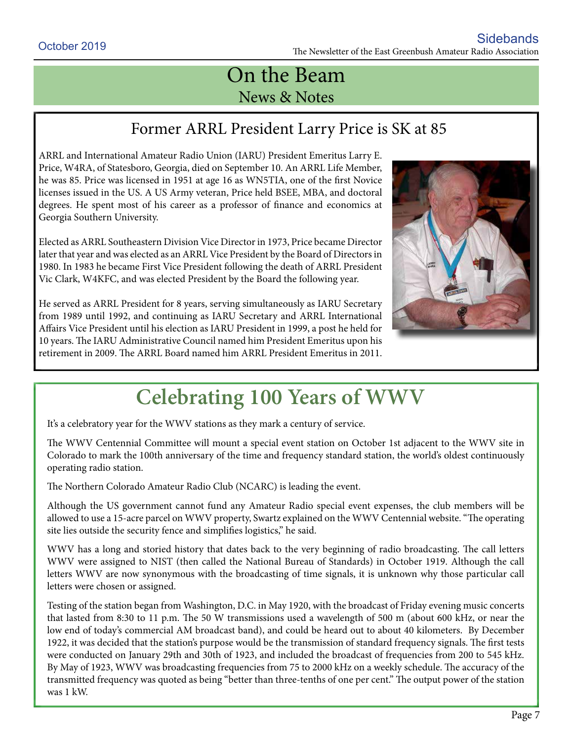## On the Beam News & Notes

#### Former ARRL President Larry Price is SK at 85

ARRL and International Amateur Radio Union (IARU) President Emeritus Larry E. Price, W4RA, of Statesboro, Georgia, died on September 10. An ARRL Life Member, he was 85. Price was licensed in 1951 at age 16 as WN5TIA, one of the first Novice licenses issued in the US. A US Army veteran, Price held BSEE, MBA, and doctoral degrees. He spent most of his career as a professor of finance and economics at Georgia Southern University.

Elected as ARRL Southeastern Division Vice Director in 1973, Price became Director later that year and was elected as an ARRL Vice President by the Board of Directors in 1980. In 1983 he became First Vice President following the death of ARRL President Vic Clark, W4KFC, and was elected President by the Board the following year.

He served as ARRL President for 8 years, serving simultaneously as IARU Secretary from 1989 until 1992, and continuing as IARU Secretary and ARRL International Affairs Vice President until his election as IARU President in 1999, a post he held for 10 years. The IARU Administrative Council named him President Emeritus upon his retirement in 2009. The ARRL Board named him ARRL President Emeritus in 2011.



## **Celebrating 100 Years of WWV**

It's a celebratory year for the WWV stations as they mark a century of service.

The WWV Centennial Committee will mount a special event station on October 1st adjacent to the WWV site in Colorado to mark the 100th anniversary of the time and frequency standard station, the world's oldest continuously operating radio station.

The Northern Colorado Amateur Radio Club (NCARC) is leading the event.

Although the US government cannot fund any Amateur Radio special event expenses, the club members will be allowed to use a 15-acre parcel on WWV property, Swartz explained on the WWV Centennial website. "The operating site lies outside the security fence and simplifies logistics," he said.

WWV has a long and storied history that dates back to the very beginning of radio broadcasting. The call letters WWV were assigned to NIST (then called the National Bureau of Standards) in October 1919. Although the call letters WWV are now synonymous with the broadcasting of time signals, it is unknown why those particular call letters were chosen or assigned.

Testing of the station began from Washington, D.C. in May 1920, with the broadcast of Friday evening music concerts that lasted from 8:30 to 11 p.m. The 50 W transmissions used a wavelength of 500 m (about 600 kHz, or near the low end of today's commercial AM broadcast band), and could be heard out to about 40 kilometers. By December 1922, it was decided that the station's purpose would be the transmission of standard frequency signals. The first tests were conducted on January 29th and 30th of 1923, and included the broadcast of frequencies from 200 to 545 kHz. By May of 1923, WWV was broadcasting frequencies from 75 to 2000 kHz on a weekly schedule. The accuracy of the transmitted frequency was quoted as being "better than three-tenths of one per cent." The output power of the station was 1 kW.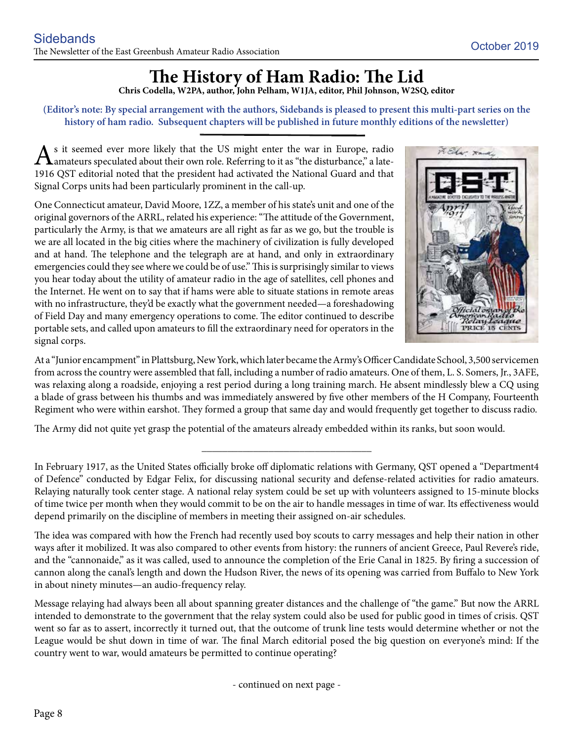## **The History of Ham Radio: The Lid**

**Chris Codella, W2PA, author, John Pelham, W1JA, editor, Phil Johnson, W2SQ, editor**

**(Editor's note: By special arrangement with the authors, Sidebands is pleased to present this multi-part series on the history of ham radio. Subsequent chapters will be published in future monthly editions of the newsletter)**

 $\mathbf{A}$ s it seemed ever more likely that the US might enter the war in Europe, radio amateurs speculated about their own role. Referring to it as "the disturbance," a late-1916 QST editorial noted that the president had activated the National Guard and that Signal Corps units had been particularly prominent in the call-up.

One Connecticut amateur, David Moore, 1ZZ, a member of his state's unit and one of the original governors of the ARRL, related his experience: "The attitude of the Government, particularly the Army, is that we amateurs are all right as far as we go, but the trouble is we are all located in the big cities where the machinery of civilization is fully developed and at hand. The telephone and the telegraph are at hand, and only in extraordinary emergencies could they see where we could be of use." This is surprisingly similar to views you hear today about the utility of amateur radio in the age of satellites, cell phones and the Internet. He went on to say that if hams were able to situate stations in remote areas with no infrastructure, they'd be exactly what the government needed—a foreshadowing of Field Day and many emergency operations to come. The editor continued to describe portable sets, and called upon amateurs to fill the extraordinary need for operators in the signal corps.



At a "Junior encampment" in Plattsburg, New York, which later became the Army's Officer Candidate School, 3,500 servicemen from across the country were assembled that fall, including a number of radio amateurs. One of them, L. S. Somers, Jr., 3AFE, was relaxing along a roadside, enjoying a rest period during a long training march. He absent mindlessly blew a CQ using a blade of grass between his thumbs and was immediately answered by five other members of the H Company, Fourteenth Regiment who were within earshot. They formed a group that same day and would frequently get together to discuss radio.

The Army did not quite yet grasp the potential of the amateurs already embedded within its ranks, but soon would.

**\_\_\_\_\_\_\_\_\_\_\_\_\_\_\_\_\_\_\_\_\_\_\_\_\_\_\_\_\_\_\_\_\_**

In February 1917, as the United States officially broke off diplomatic relations with Germany, QST opened a "Department4 of Defence" conducted by Edgar Felix, for discussing national security and defense-related activities for radio amateurs. Relaying naturally took center stage. A national relay system could be set up with volunteers assigned to 15-minute blocks of time twice per month when they would commit to be on the air to handle messages in time of war. Its effectiveness would depend primarily on the discipline of members in meeting their assigned on-air schedules.

The idea was compared with how the French had recently used boy scouts to carry messages and help their nation in other ways after it mobilized. It was also compared to other events from history: the runners of ancient Greece, Paul Revere's ride, and the "cannonaide," as it was called, used to announce the completion of the Erie Canal in 1825. By firing a succession of cannon along the canal's length and down the Hudson River, the news of its opening was carried from Buffalo to New York in about ninety minutes—an audio-frequency relay.

Message relaying had always been all about spanning greater distances and the challenge of "the game." But now the ARRL intended to demonstrate to the government that the relay system could also be used for public good in times of crisis. QST went so far as to assert, incorrectly it turned out, that the outcome of trunk line tests would determine whether or not the League would be shut down in time of war. The final March editorial posed the big question on everyone's mind: If the country went to war, would amateurs be permitted to continue operating?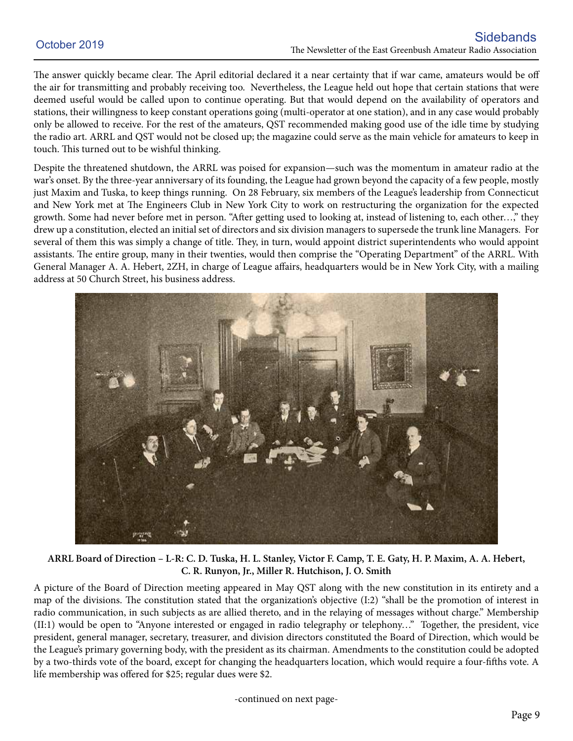The answer quickly became clear. The April editorial declared it a near certainty that if war came, amateurs would be off the air for transmitting and probably receiving too. Nevertheless, the League held out hope that certain stations that were deemed useful would be called upon to continue operating. But that would depend on the availability of operators and stations, their willingness to keep constant operations going (multi-operator at one station), and in any case would probably only be allowed to receive. For the rest of the amateurs, QST recommended making good use of the idle time by studying the radio art. ARRL and QST would not be closed up; the magazine could serve as the main vehicle for amateurs to keep in touch. This turned out to be wishful thinking.

Despite the threatened shutdown, the ARRL was poised for expansion—such was the momentum in amateur radio at the war's onset. By the three-year anniversary of its founding, the League had grown beyond the capacity of a few people, mostly just Maxim and Tuska, to keep things running. On 28 February, six members of the League's leadership from Connecticut and New York met at The Engineers Club in New York City to work on restructuring the organization for the expected growth. Some had never before met in person. "After getting used to looking at, instead of listening to, each other…," they drew up a constitution, elected an initial set of directors and six division managers to supersede the trunk line Managers. For several of them this was simply a change of title. They, in turn, would appoint district superintendents who would appoint assistants. The entire group, many in their twenties, would then comprise the "Operating Department" of the ARRL. With General Manager A. A. Hebert, 2ZH, in charge of League affairs, headquarters would be in New York City, with a mailing address at 50 Church Street, his business address.



**ARRL Board of Direction – L-R: C. D. Tuska, H. L. Stanley, Victor F. Camp, T. E. Gaty, H. P. Maxim, A. A. Hebert, C. R. Runyon, Jr., Miller R. Hutchison, J. O. Smith**

A picture of the Board of Direction meeting appeared in May QST along with the new constitution in its entirety and a map of the divisions. The constitution stated that the organization's objective (I:2) "shall be the promotion of interest in radio communication, in such subjects as are allied thereto, and in the relaying of messages without charge." Membership (II:1) would be open to "Anyone interested or engaged in radio telegraphy or telephony…" Together, the president, vice president, general manager, secretary, treasurer, and division directors constituted the Board of Direction, which would be the League's primary governing body, with the president as its chairman. Amendments to the constitution could be adopted by a two-thirds vote of the board, except for changing the headquarters location, which would require a four-fifths vote. A life membership was offered for \$25; regular dues were \$2.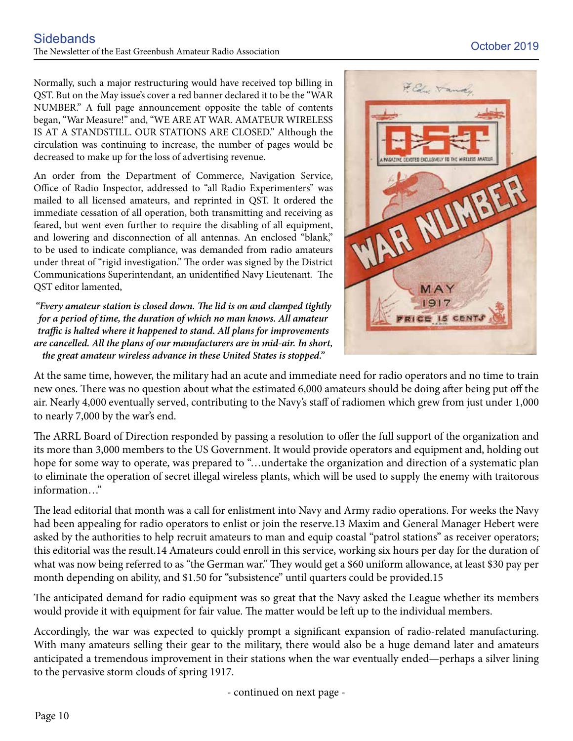Normally, such a major restructuring would have received top billing in QST. But on the May issue's cover a red banner declared it to be the "WAR NUMBER." A full page announcement opposite the table of contents began, "War Measure!" and, "WE ARE AT WAR. AMATEUR WIRELESS IS AT A STANDSTILL. OUR STATIONS ARE CLOSED." Although the circulation was continuing to increase, the number of pages would be decreased to make up for the loss of advertising revenue.

An order from the Department of Commerce, Navigation Service, Office of Radio Inspector, addressed to "all Radio Experimenters" was mailed to all licensed amateurs, and reprinted in QST. It ordered the immediate cessation of all operation, both transmitting and receiving as feared, but went even further to require the disabling of all equipment, and lowering and disconnection of all antennas. An enclosed "blank," to be used to indicate compliance, was demanded from radio amateurs under threat of "rigid investigation." The order was signed by the District Communications Superintendant, an unidentified Navy Lieutenant. The QST editor lamented,

*"Every amateur station is closed down. The lid is on and clamped tightly for a period of time, the duration of which no man knows. All amateur traffic is halted where it happened to stand. All plans for improvements are cancelled. All the plans of our manufacturers are in mid-air. In short, the great amateur wireless advance in these United States is stopped."*



At the same time, however, the military had an acute and immediate need for radio operators and no time to train new ones. There was no question about what the estimated 6,000 amateurs should be doing after being put off the air. Nearly 4,000 eventually served, contributing to the Navy's staff of radiomen which grew from just under 1,000 to nearly 7,000 by the war's end.

The ARRL Board of Direction responded by passing a resolution to offer the full support of the organization and its more than 3,000 members to the US Government. It would provide operators and equipment and, holding out hope for some way to operate, was prepared to "…undertake the organization and direction of a systematic plan to eliminate the operation of secret illegal wireless plants, which will be used to supply the enemy with traitorous information…"

The lead editorial that month was a call for enlistment into Navy and Army radio operations. For weeks the Navy had been appealing for radio operators to enlist or join the reserve.13 Maxim and General Manager Hebert were asked by the authorities to help recruit amateurs to man and equip coastal "patrol stations" as receiver operators; this editorial was the result.14 Amateurs could enroll in this service, working six hours per day for the duration of what was now being referred to as "the German war." They would get a \$60 uniform allowance, at least \$30 pay per month depending on ability, and \$1.50 for "subsistence" until quarters could be provided.15

The anticipated demand for radio equipment was so great that the Navy asked the League whether its members would provide it with equipment for fair value. The matter would be left up to the individual members.

Accordingly, the war was expected to quickly prompt a significant expansion of radio-related manufacturing. With many amateurs selling their gear to the military, there would also be a huge demand later and amateurs anticipated a tremendous improvement in their stations when the war eventually ended—perhaps a silver lining to the pervasive storm clouds of spring 1917.

- continued on next page -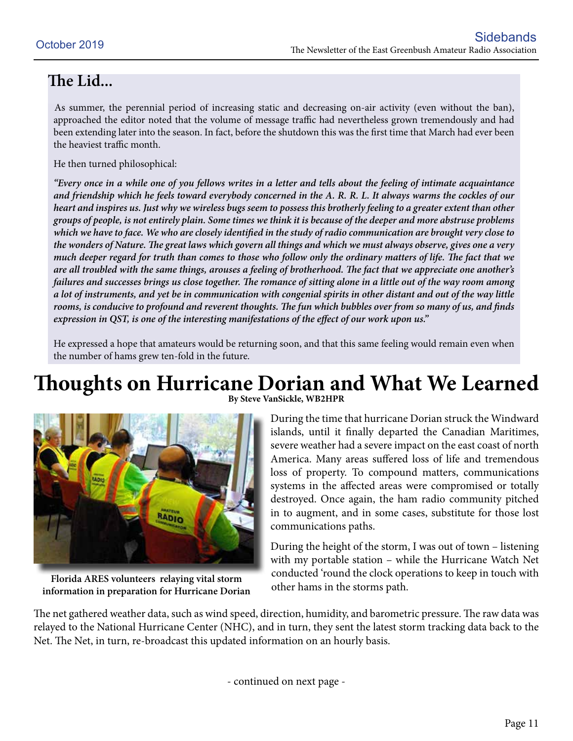#### **The Lid...**

As summer, the perennial period of increasing static and decreasing on-air activity (even without the ban), approached the editor noted that the volume of message traffic had nevertheless grown tremendously and had been extending later into the season. In fact, before the shutdown this was the first time that March had ever been the heaviest traffic month.

He then turned philosophical:

*"Every once in a while one of you fellows writes in a letter and tells about the feeling of intimate acquaintance and friendship which he feels toward everybody concerned in the A. R. R. L. It always warms the cockles of our heart and inspires us. Just why we wireless bugs seem to possess this brotherly feeling to a greater extent than other groups of people, is not entirely plain. Some times we think it is because of the deeper and more abstruse problems which we have to face. We who are closely identified in the study of radio communication are brought very close to the wonders of Nature. The great laws which govern all things and which we must always observe, gives one a very much deeper regard for truth than comes to those who follow only the ordinary matters of life. The fact that we are all troubled with the same things, arouses a feeling of brotherhood. The fact that we appreciate one another's failures and successes brings us close together. The romance of sitting alone in a little out of the way room among a lot of instruments, and yet be in communication with congenial spirits in other distant and out of the way little rooms, is conducive to profound and reverent thoughts. The fun which bubbles over from so many of us, and finds expression in QST, is one of the interesting manifestations of the effect of our work upon us."*

He expressed a hope that amateurs would be returning soon, and that this same feeling would remain even when the number of hams grew ten-fold in the future.

## **Thoughts on Hurricane Dorian and What We Learned**



**Florida ARES volunteers relaying vital storm information in preparation for Hurricane Dorian**

**By Steve VanSickle, WB2HPR**

During the time that hurricane Dorian struck the Windward islands, until it finally departed the Canadian Maritimes, severe weather had a severe impact on the east coast of north America. Many areas suffered loss of life and tremendous loss of property. To compound matters, communications systems in the affected areas were compromised or totally destroyed. Once again, the ham radio community pitched in to augment, and in some cases, substitute for those lost communications paths.

During the height of the storm, I was out of town – listening with my portable station – while the Hurricane Watch Net conducted 'round the clock operations to keep in touch with other hams in the storms path.

The net gathered weather data, such as wind speed, direction, humidity, and barometric pressure. The raw data was relayed to the National Hurricane Center (NHC), and in turn, they sent the latest storm tracking data back to the Net. The Net, in turn, re-broadcast this updated information on an hourly basis.

- continued on next page -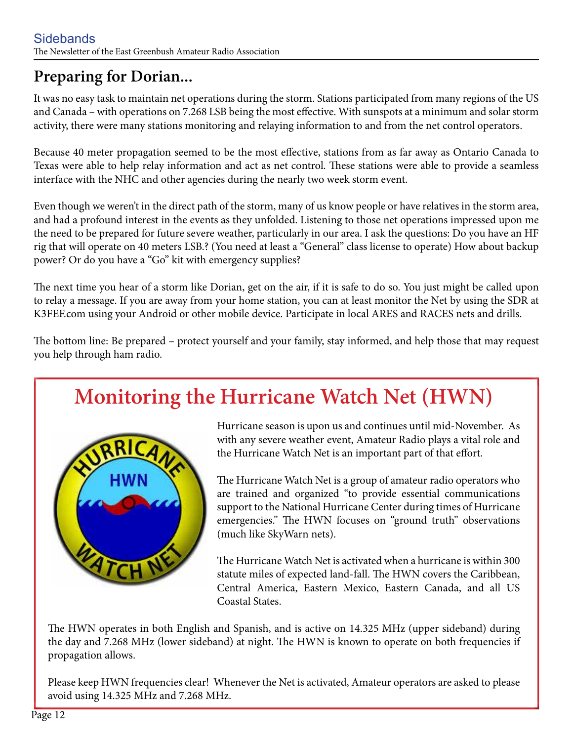### **Preparing for Dorian...**

It was no easy task to maintain net operations during the storm. Stations participated from many regions of the US and Canada – with operations on 7.268 LSB being the most effective. With sunspots at a minimum and solar storm activity, there were many stations monitoring and relaying information to and from the net control operators.

Because 40 meter propagation seemed to be the most effective, stations from as far away as Ontario Canada to Texas were able to help relay information and act as net control. These stations were able to provide a seamless interface with the NHC and other agencies during the nearly two week storm event.

Even though we weren't in the direct path of the storm, many of us know people or have relatives in the storm area, and had a profound interest in the events as they unfolded. Listening to those net operations impressed upon me the need to be prepared for future severe weather, particularly in our area. I ask the questions: Do you have an HF rig that will operate on 40 meters LSB.? (You need at least a "General" class license to operate) How about backup power? Or do you have a "Go" kit with emergency supplies?

The next time you hear of a storm like Dorian, get on the air, if it is safe to do so. You just might be called upon to relay a message. If you are away from your home station, you can at least monitor the Net by using the SDR at K3FEF.com using your Android or other mobile device. Participate in local ARES and RACES nets and drills.

The bottom line: Be prepared – protect yourself and your family, stay informed, and help those that may request you help through ham radio.

## **Monitoring the Hurricane Watch Net (HWN)**



Hurricane season is upon us and continues until mid-November. As with any severe weather event, Amateur Radio plays a vital role and the Hurricane Watch Net is an important part of that effort.

The Hurricane Watch Net is a group of amateur radio operators who are trained and organized "to provide essential communications support to the National Hurricane Center during times of Hurricane emergencies." The HWN focuses on "ground truth" observations (much like SkyWarn nets).

The Hurricane Watch Net is activated when a hurricane is within 300 statute miles of expected land-fall. The HWN covers the Caribbean, Central America, Eastern Mexico, Eastern Canada, and all US Coastal States.

The HWN operates in both English and Spanish, and is active on 14.325 MHz (upper sideband) during the day and 7.268 MHz (lower sideband) at night. The HWN is known to operate on both frequencies if propagation allows.

Please keep HWN frequencies clear! Whenever the Net is activated, Amateur operators are asked to please avoid using 14.325 MHz and 7.268 MHz.